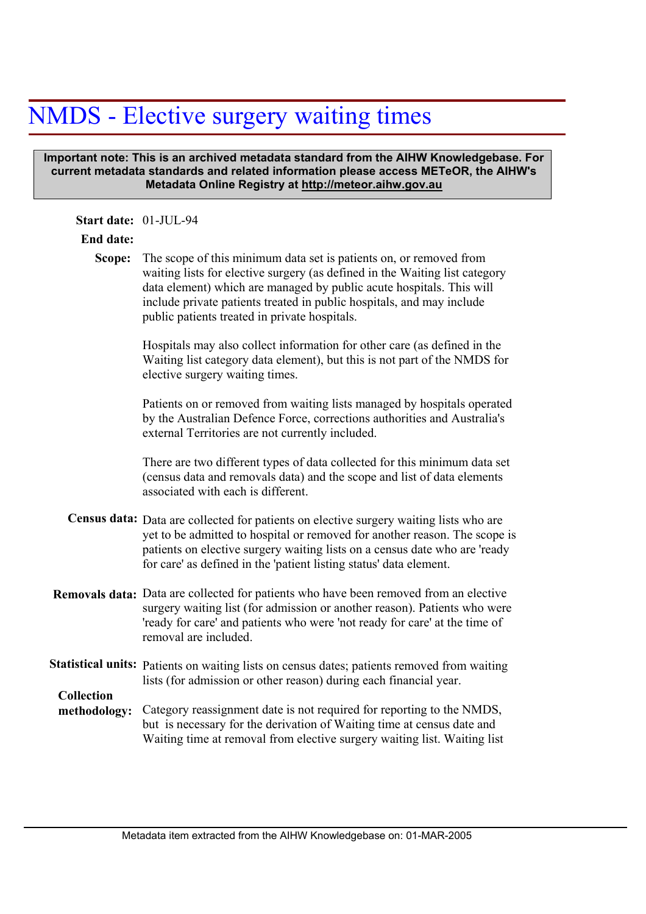# NMDS - Elective surgery waiting times

#### **Important note: This is an archived metadata standard from the AIHW Knowledgebase. For current metadata standards and related information please access METeOR, the AIHW's Metadata Online Registry at http://meteor.aihw.gov.au**

#### **Start date:** 01-JUL-94

### **End date:**

Scope: The scope of this minimum data set is patients on, or removed from waiting lists for elective surgery (as defined in the Waiting list category data element) which are managed by public acute hospitals. This will include private patients treated in public hospitals, and may include public patients treated in private hospitals.

> Hospitals may also collect information for other care (as defined in the Waiting list category data element), but this is not part of the NMDS for elective surgery waiting times.

> Patients on or removed from waiting lists managed by hospitals operated by the Australian Defence Force, corrections authorities and Australia's external Territories are not currently included.

> There are two different types of data collected for this minimum data set (census data and removals data) and the scope and list of data elements associated with each is different.

- Census data: Data are collected for patients on elective surgery waiting lists who are yet to be admitted to hospital or removed for another reason. The scope is patients on elective surgery waiting lists on a census date who are 'ready for care' as defined in the 'patient listing status' data element.
- **Removals data:** Data are collected for patients who have been removed from an elective surgery waiting list (for admission or another reason). Patients who were 'ready for care' and patients who were 'not ready for care' at the time of removal are included.
- Statistical units: Patients on waiting lists on census dates; patients removed from waiting lists (for admission or other reason) during each financial year.

**Collection** 

methodology: Category reassignment date is not required for reporting to the NMDS, but is necessary for the derivation of Waiting time at census date and Waiting time at removal from elective surgery waiting list. Waiting list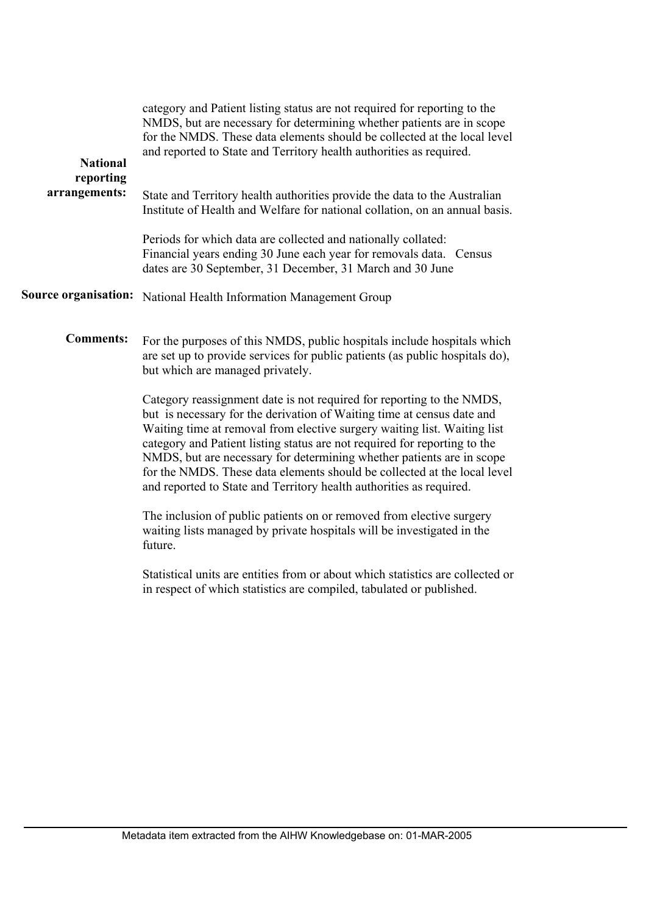| <b>National</b>            | category and Patient listing status are not required for reporting to the<br>NMDS, but are necessary for determining whether patients are in scope<br>for the NMDS. These data elements should be collected at the local level<br>and reported to State and Territory health authorities as required.                                                                                                                                                                                                                                |
|----------------------------|--------------------------------------------------------------------------------------------------------------------------------------------------------------------------------------------------------------------------------------------------------------------------------------------------------------------------------------------------------------------------------------------------------------------------------------------------------------------------------------------------------------------------------------|
| reporting<br>arrangements: | State and Territory health authorities provide the data to the Australian<br>Institute of Health and Welfare for national collation, on an annual basis.                                                                                                                                                                                                                                                                                                                                                                             |
|                            | Periods for which data are collected and nationally collated:<br>Financial years ending 30 June each year for removals data. Census<br>dates are 30 September, 31 December, 31 March and 30 June                                                                                                                                                                                                                                                                                                                                     |
| Source organisation:       | National Health Information Management Group                                                                                                                                                                                                                                                                                                                                                                                                                                                                                         |
| <b>Comments:</b>           | For the purposes of this NMDS, public hospitals include hospitals which<br>are set up to provide services for public patients (as public hospitals do),<br>but which are managed privately.                                                                                                                                                                                                                                                                                                                                          |
|                            | Category reassignment date is not required for reporting to the NMDS,<br>but is necessary for the derivation of Waiting time at census date and<br>Waiting time at removal from elective surgery waiting list. Waiting list<br>category and Patient listing status are not required for reporting to the<br>NMDS, but are necessary for determining whether patients are in scope<br>for the NMDS. These data elements should be collected at the local level<br>and reported to State and Territory health authorities as required. |
|                            | The inclusion of public patients on or removed from elective surgery<br>waiting lists managed by private hospitals will be investigated in the<br>future.                                                                                                                                                                                                                                                                                                                                                                            |
|                            | Statistical units are entities from or about which statistics are collected or<br>in respect of which statistics are compiled, tabulated or published.                                                                                                                                                                                                                                                                                                                                                                               |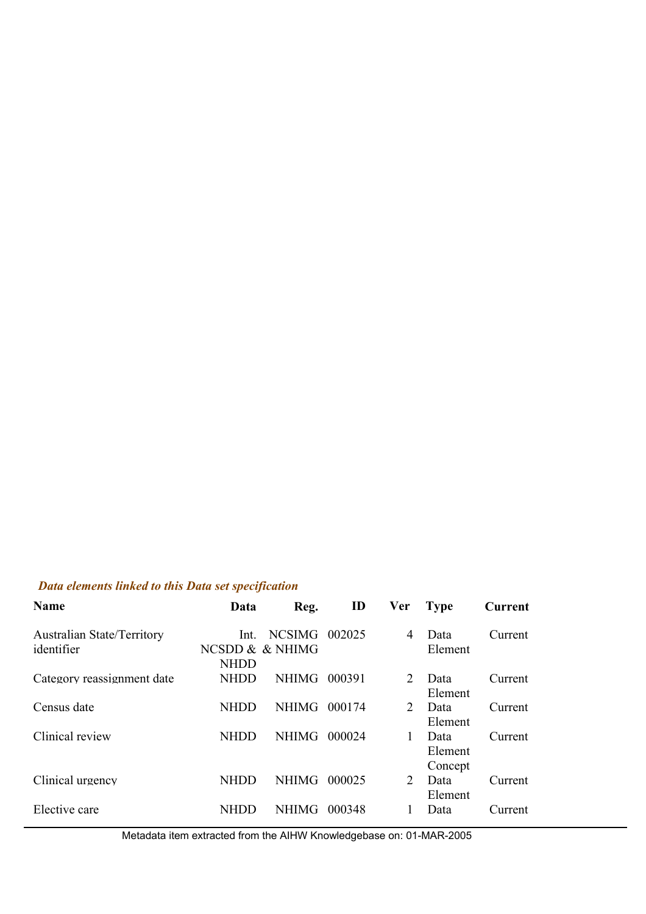## *Data elements linked to this Data set specification*

| <b>Name</b>                                     | Data                | Reg.                             | ID     | Ver | <b>Type</b>                | Current |
|-------------------------------------------------|---------------------|----------------------------------|--------|-----|----------------------------|---------|
| <b>Australian State/Territory</b><br>identifier | Int.<br><b>NHDD</b> | <b>NCSIMG</b><br>NCSDD & & NHIMG | 002025 | 4   | Data<br>Element            | Current |
| Category reassignment date                      | NHDD                | <b>NHIMG</b>                     | 000391 | 2   | Data<br>Element            | Current |
| Census date                                     | NHDD                | <b>NHIMG</b>                     | 000174 | 2   | Data<br>Element            | Current |
| Clinical review                                 | NHDD                | <b>NHIMG</b>                     | 000024 | 1   | Data<br>Element<br>Concept | Current |
| Clinical urgency                                | NHDD                | <b>NHIMG</b>                     | 000025 | 2   | Data<br>Element            | Current |
| Elective care                                   | NHDD                | <b>NHIMG</b>                     | 000348 | 1   | Data                       | Current |

Metadata item extracted from the AIHW Knowledgebase on: 01-MAR-2005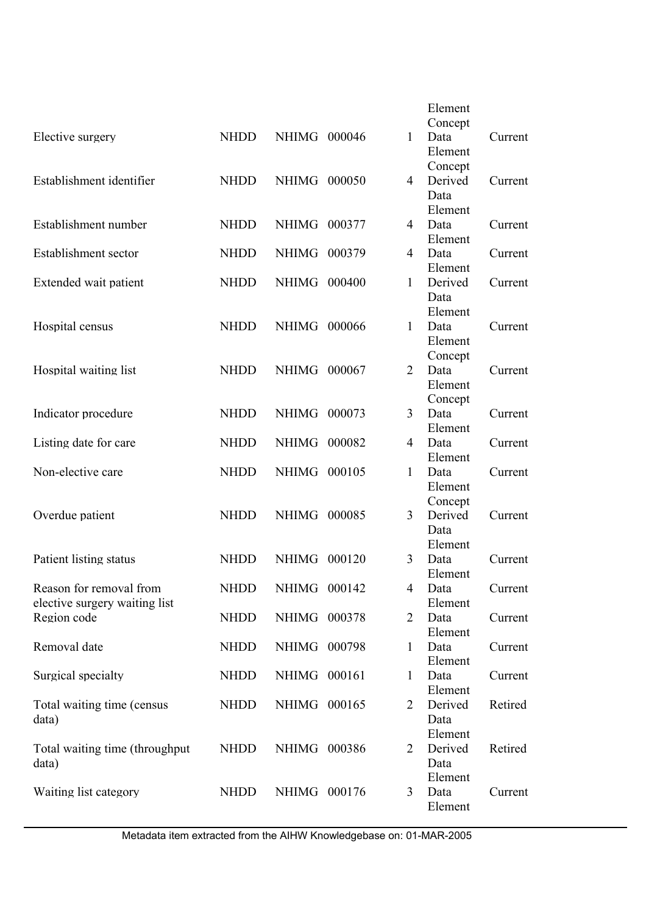|                                |             |              |        |                | Element         |         |
|--------------------------------|-------------|--------------|--------|----------------|-----------------|---------|
|                                |             |              |        |                | Concept         |         |
| Elective surgery               | <b>NHDD</b> | NHIMG 000046 |        | $\mathbf{1}$   | Data            | Current |
|                                |             |              |        |                | Element         |         |
|                                |             |              |        |                | Concept         |         |
| Establishment identifier       | <b>NHDD</b> | NHIMG 000050 |        | $\overline{4}$ | Derived         | Current |
|                                |             |              |        |                | Data            |         |
|                                |             |              |        |                | Element         |         |
| Establishment number           | <b>NHDD</b> | NHIMG 000377 |        | 4              | Data            | Current |
|                                |             |              |        |                | Element         |         |
| Establishment sector           | <b>NHDD</b> | <b>NHIMG</b> | 000379 | $\overline{4}$ | Data            | Current |
|                                |             |              |        |                | Element         |         |
| Extended wait patient          | <b>NHDD</b> | NHIMG 000400 |        | $\mathbf{1}$   | Derived         | Current |
|                                |             |              |        |                | Data            |         |
|                                |             |              |        |                | Element         |         |
| Hospital census                | <b>NHDD</b> | <b>NHIMG</b> | 000066 | $\mathbf{1}$   | Data            | Current |
|                                |             |              |        |                | Element         |         |
|                                |             |              |        | $\overline{2}$ | Concept<br>Data |         |
| Hospital waiting list          | <b>NHDD</b> | NHIMG 000067 |        |                | Element         | Current |
|                                |             |              |        |                |                 |         |
| Indicator procedure            | <b>NHDD</b> | NHIMG 000073 |        | $\overline{3}$ | Concept<br>Data | Current |
|                                |             |              |        |                | Element         |         |
| Listing date for care          | <b>NHDD</b> | <b>NHIMG</b> | 000082 | 4              | Data            | Current |
|                                |             |              |        |                | Element         |         |
| Non-elective care              | <b>NHDD</b> | NHIMG 000105 |        | $\mathbf{1}$   | Data            | Current |
|                                |             |              |        |                | Element         |         |
|                                |             |              |        |                | Concept         |         |
| Overdue patient                | <b>NHDD</b> | NHIMG 000085 |        | 3              | Derived         | Current |
|                                |             |              |        |                | Data            |         |
|                                |             |              |        |                | Element         |         |
| Patient listing status         | <b>NHDD</b> | NHIMG 000120 |        | 3              | Data            | Current |
|                                |             |              |        |                | Element         |         |
| Reason for removal from        | <b>NHDD</b> | NHIMG 000142 |        | 4              | Data            | Current |
| elective surgery waiting list  |             |              |        |                | Element         |         |
| Region code                    | <b>NHDD</b> | NHIMG 000378 |        | $\overline{2}$ | Data            | Current |
|                                |             |              |        |                | Element         |         |
| Removal date                   | <b>NHDD</b> | NHIMG 000798 |        | $\mathbf{1}$   | Data            | Current |
|                                |             |              |        |                | Element         |         |
| Surgical specialty             | <b>NHDD</b> | NHIMG 000161 |        | $\mathbf{1}$   | Data            | Current |
|                                |             |              |        |                | Element         |         |
| Total waiting time (census     | <b>NHDD</b> | NHIMG 000165 |        | $\overline{2}$ | Derived         | Retired |
| data)                          |             |              |        |                | Data            |         |
|                                |             |              |        |                | Element         |         |
| Total waiting time (throughput | <b>NHDD</b> | NHIMG 000386 |        | $\overline{2}$ | Derived         | Retired |
| data)                          |             |              |        |                | Data            |         |
|                                |             |              |        |                | Element         |         |
| Waiting list category          | <b>NHDD</b> | NHIMG 000176 |        | 3              | Data            | Current |
|                                |             |              |        |                | Element         |         |